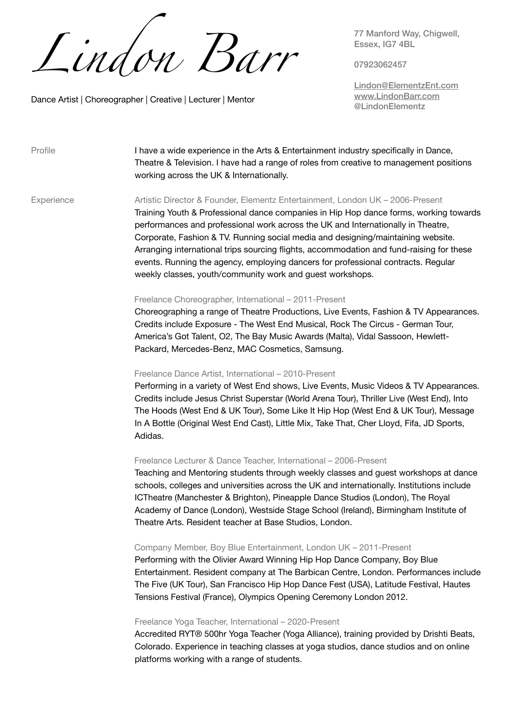*Lindon Barr*

Dance Artist | Choreographer | Creative | Lecturer | Mentor

77 Manford Way, Chigwell, Essex, IG7 4BL

07923062457

[Lindon@ElementzEnt.com](mailto:lindon@elementzent.com) [www.LindonBarr.com](http://www.LindonBarr.com) @LindonElementz

| Profile    | I have a wide experience in the Arts & Entertainment industry specifically in Dance,<br>Theatre & Television. I have had a range of roles from creative to management positions<br>working across the UK & Internationally.                                                                                                                                                                                                                                                                                                                                                                  |
|------------|----------------------------------------------------------------------------------------------------------------------------------------------------------------------------------------------------------------------------------------------------------------------------------------------------------------------------------------------------------------------------------------------------------------------------------------------------------------------------------------------------------------------------------------------------------------------------------------------|
| Experience | Artistic Director & Founder, Elementz Entertainment, London UK - 2006-Present<br>Training Youth & Professional dance companies in Hip Hop dance forms, working towards<br>performances and professional work across the UK and Internationally in Theatre,<br>Corporate, Fashion & TV. Running social media and designing/maintaining website.<br>Arranging international trips sourcing flights, accommodation and fund-raising for these<br>events. Running the agency, employing dancers for professional contracts. Regular<br>weekly classes, youth/community work and guest workshops. |
|            | Freelance Choreographer, International – 2011-Present<br>Choreographing a range of Theatre Productions, Live Events, Fashion & TV Appearances.<br>Credits include Exposure - The West End Musical, Rock The Circus - German Tour,<br>America's Got Talent, O2, The Bay Music Awards (Malta), Vidal Sassoon, Hewlett-                                                                                                                                                                                                                                                                         |

Packard, Mercedes-Benz, MAC Cosmetics, Samsung.

 Freelance Dance Artist, International – 2010-Present Performing in a variety of West End shows, Live Events, Music Videos & TV Appearances.

Credits include Jesus Christ Superstar (World Arena Tour), Thriller Live (West End), Into The Hoods (West End & UK Tour), Some Like It Hip Hop (West End & UK Tour), Message In A Bottle (Original West End Cast), Little Mix, Take That, Cher Lloyd, Fifa, JD Sports, Adidas.

## Freelance Lecturer & Dance Teacher, International – 2006-Present

Teaching and Mentoring students through weekly classes and guest workshops at dance schools, colleges and universities across the UK and internationally. Institutions include ICTheatre (Manchester & Brighton), Pineapple Dance Studios (London), The Royal Academy of Dance (London), Westside Stage School (Ireland), Birmingham Institute of Theatre Arts. Resident teacher at Base Studios, London.

## Company Member, Boy Blue Entertainment, London UK – 2011-Present

Performing with the Olivier Award Winning Hip Hop Dance Company, Boy Blue Entertainment. Resident company at The Barbican Centre, London. Performances include The Five (UK Tour), San Francisco Hip Hop Dance Fest (USA), Latitude Festival, Hautes Tensions Festival (France), Olympics Opening Ceremony London 2012.

## Freelance Yoga Teacher, International – 2020-Present

Accredited RYT® 500hr Yoga Teacher (Yoga Alliance), training provided by Drishti Beats, Colorado. Experience in teaching classes at yoga studios, dance studios and on online platforms working with a range of students.